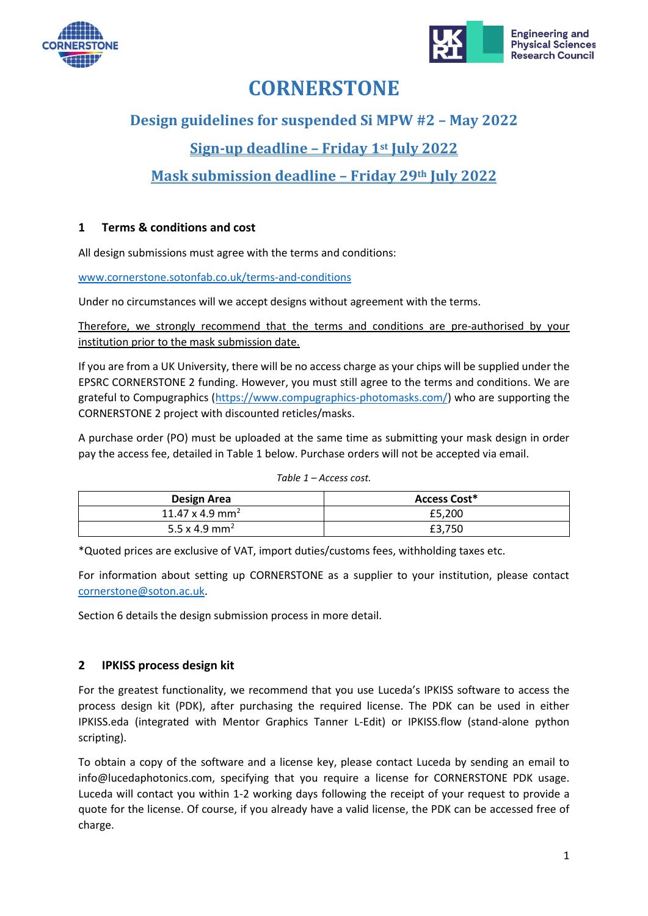



# **CORNERSTONE**

# **Design guidelines for suspended Si MPW #2 – May 2022**

# **Sign-up deadline – Friday 1st July 2022**

# **Mask submission deadline – Friday 29th July 2022**

# **1 Terms & conditions and cost**

All design submissions must agree with the terms and conditions:

[www.cornerstone.sotonfab.co.uk/terms-and-conditions](http://www.cornerstone.sotonfab.co.uk/terms-and-conditions)

Under no circumstances will we accept designs without agreement with the terms.

Therefore, we strongly recommend that the terms and conditions are pre-authorised by your institution prior to the mask submission date.

If you are from a UK University, there will be no access charge as your chips will be supplied under the EPSRC CORNERSTONE 2 funding. However, you must still agree to the terms and conditions. We are grateful to Compugraphics [\(https://www.compugraphics-photomasks.com/\)](https://www.compugraphics-photomasks.com/) who are supporting the CORNERSTONE 2 project with discounted reticles/masks.

A purchase order (PO) must be uploaded at the same time as submitting your mask design in order pay the access fee, detailed in [Table 1](#page-0-0) below. Purchase orders will not be accepted via email.

<span id="page-0-0"></span>

| Design Area                 | Access Cost* |  |  |
|-----------------------------|--------------|--|--|
| 11.47 x 4.9 mm <sup>2</sup> | £5,200       |  |  |
| 5.5 x 4.9 mm <sup>2</sup>   | £3,750       |  |  |

#### *Table 1 – Access cost.*

\*Quoted prices are exclusive of VAT, import duties/customs fees, withholding taxes etc.

For information about setting up CORNERSTONE as a supplier to your institution, please contact [cornerstone@soton.ac.uk.](mailto:cornerstone@soton.ac.uk)

Sectio[n 6](#page-5-0) details the design submission process in more detail.

# **2 IPKISS process design kit**

For the greatest functionality, we recommend that you use Luceda's IPKISS software to access the process design kit (PDK), after purchasing the required license. The PDK can be used in either IPKISS.eda (integrated with Mentor Graphics Tanner L-Edit) or IPKISS.flow (stand-alone python scripting).

To obtain a copy of the software and a license key, please contact Luceda by sending an email to info@lucedaphotonics.com, specifying that you require a license for CORNERSTONE PDK usage. Luceda will contact you within 1-2 working days following the receipt of your request to provide a quote for the license. Of course, if you already have a valid license, the PDK can be accessed free of charge.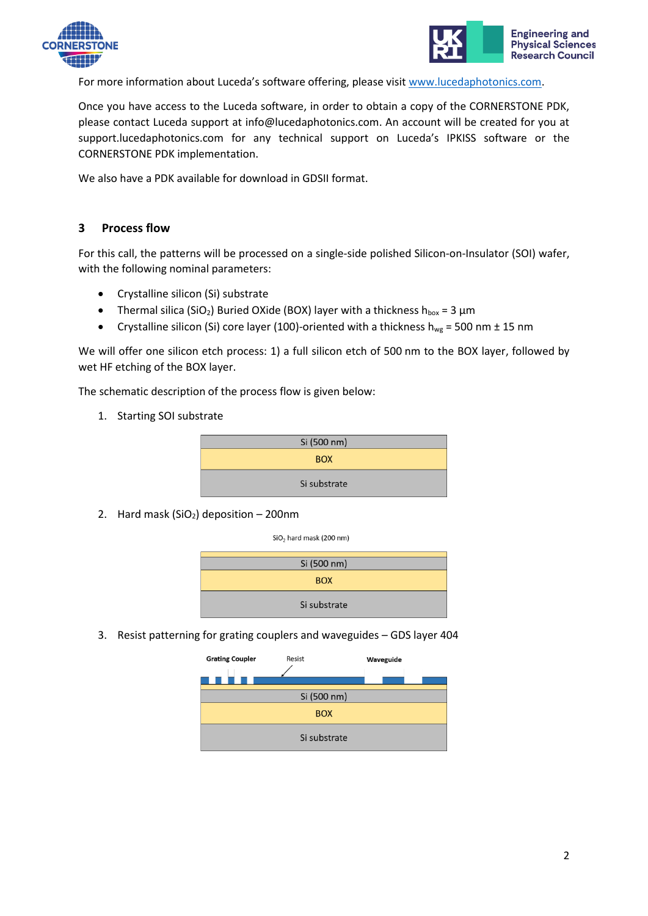



**Engineering and Physical Sciences Research Council** 

For more information about Luceda's software offering, please visit [www.lucedaphotonics.com.](http://www.lucedaphotonics.com/)

Once you have access to the Luceda software, in order to obtain a copy of the CORNERSTONE PDK, please contact Luceda support at info@lucedaphotonics.com. An account will be created for you at support.lucedaphotonics.com for any technical support on Luceda's IPKISS software or the CORNERSTONE PDK implementation.

We also have a PDK available for download in GDSII format.

# **3 Process flow**

For this call, the patterns will be processed on a single-side polished Silicon-on-Insulator (SOI) wafer, with the following nominal parameters:

- Crystalline silicon (Si) substrate
- Thermal silica (SiO<sub>2</sub>) Buried OXide (BOX) layer with a thickness h<sub>box</sub> = 3  $\mu$ m
- Crystalline silicon (Si) core layer (100)-oriented with a thickness  $h_{wg} = 500$  nm  $\pm$  15 nm

We will offer one silicon etch process: 1) a full silicon etch of 500 nm to the BOX layer, followed by wet HF etching of the BOX layer.

The schematic description of the process flow is given below:

1. Starting SOI substrate

| Si (500 nm)  |  |  |  |
|--------------|--|--|--|
| <b>BOX</b>   |  |  |  |
| Si substrate |  |  |  |

2. Hard mask (SiO<sub>2</sub>) deposition  $-200$ nm

SiO<sub>2</sub> hard mask (200 nm)

| Si (500 nm)  |  |  |
|--------------|--|--|
| <b>BOX</b>   |  |  |
| Si substrate |  |  |

3. Resist patterning for grating couplers and waveguides – GDS layer 404

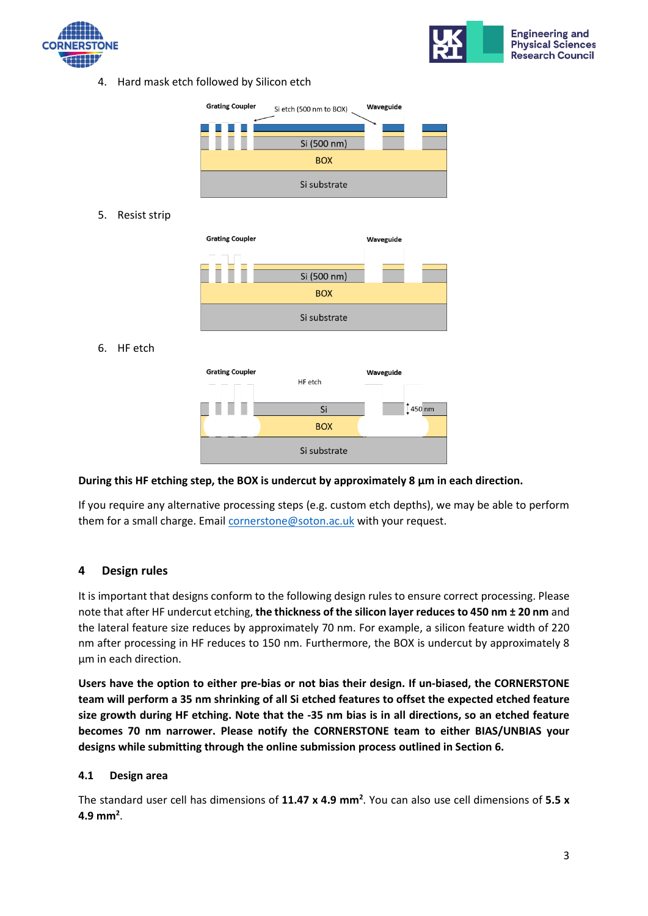



4. Hard mask etch followed by Silicon etch



5. Resist strip



6. HF etch



#### **During this HF etching step, the BOX is undercut by approximately 8 µm in each direction.**

If you require any alternative processing steps (e.g. custom etch depths), we may be able to perform them for a small charge. Email [cornerstone@soton.ac.uk](mailto:cornerstone@soton.ac.uk) with your request.

# **4 Design rules**

It is important that designs conform to the following design rules to ensure correct processing. Please note that after HF undercut etching, **the thickness of the silicon layer reduces to 450 nm ± 20 nm** and the lateral feature size reduces by approximately 70 nm. For example, a silicon feature width of 220 nm after processing in HF reduces to 150 nm. Furthermore, the BOX is undercut by approximately 8 µm in each direction.

**Users have the option to either pre-bias or not bias their design. If un-biased, the CORNERSTONE team will perform a 35 nm shrinking of all Si etched features to offset the expected etched feature size growth during HF etching. Note that the -35 nm bias is in all directions, so an etched feature becomes 70 nm narrower. Please notify the CORNERSTONE team to either BIAS/UNBIAS your designs while submitting through the online submission process outlined in Sectio[n 6.](#page-5-0)**

#### **4.1 Design area**

The standard user cell has dimensions of **11.47 x 4.9 mm<sup>2</sup>** . You can also use cell dimensions of **5.5 x 4.9 mm<sup>2</sup>** .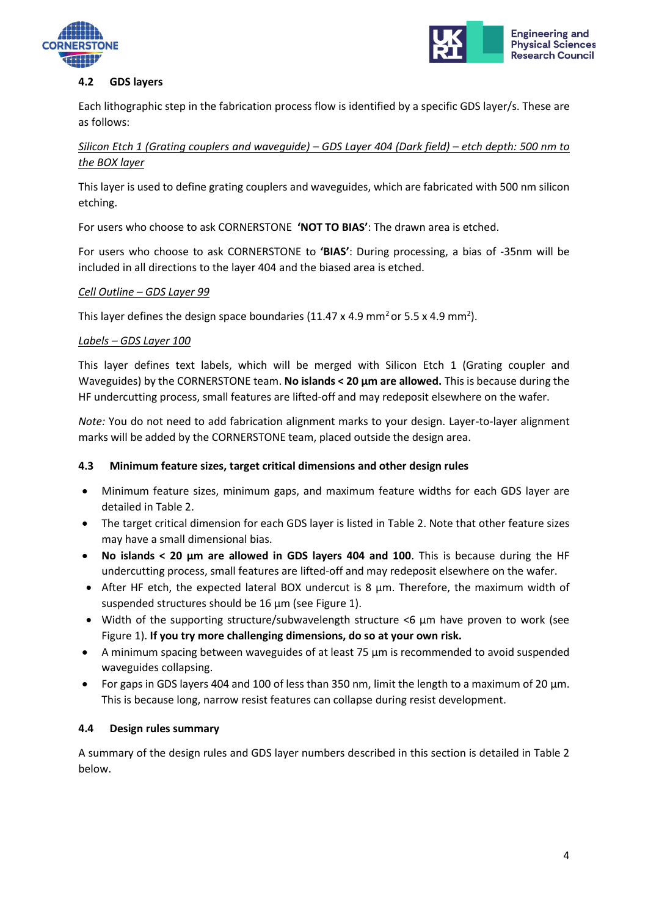



### <span id="page-3-0"></span>**4.2 GDS layers**

Each lithographic step in the fabrication process flow is identified by a specific GDS layer/s. These are as follows:

*Silicon Etch 1 (Grating couplers and waveguide) – GDS Layer 404 (Dark field) – etch depth: 500 nm to the BOX layer*

This layer is used to define grating couplers and waveguides, which are fabricated with 500 nm silicon etching.

For users who choose to ask CORNERSTONE **'NOT TO BIAS'**: The drawn area is etched.

For users who choose to ask CORNERSTONE to **'BIAS'**: During processing, a bias of -35nm will be included in all directions to the layer 404 and the biased area is etched.

#### *Cell Outline – GDS Layer 99*

This layer defines the design space boundaries (11.47 x 4.9 mm<sup>2</sup> or 5.5 x 4.9 mm<sup>2</sup>).

#### *Labels – GDS Layer 100*

This layer defines text labels, which will be merged with Silicon Etch 1 (Grating coupler and Waveguides) by the CORNERSTONE team. **No islands < 20 µm are allowed.** This is because during the HF undercutting process, small features are lifted-off and may redeposit elsewhere on the wafer.

*Note:* You do not need to add fabrication alignment marks to your design. Layer-to-layer alignment marks will be added by the CORNERSTONE team, placed outside the design area.

#### **4.3 Minimum feature sizes, target critical dimensions and other design rules**

- Minimum feature sizes, minimum gaps, and maximum feature widths for each GDS layer are detailed in [Table 2.](#page-4-0)
- The target critical dimension for each GDS layer is listed in [Table 2.](#page-4-0) Note that other feature sizes may have a small dimensional bias.
- **No islands < 20 µm are allowed in GDS layers 404 and 100**. This is because during the HF undercutting process, small features are lifted-off and may redeposit elsewhere on the wafer.
- After HF etch, the expected lateral BOX undercut is 8 µm. Therefore, the maximum width of suspended structures should be 16 µm (see [Figure 1\)](#page-4-1).
- Width of the supporting structure/subwavelength structure <6 µm have proven to work (see [Figure 1\)](#page-4-1). **If you try more challenging dimensions, do so at your own risk.**
- A minimum spacing between waveguides of at least 75 μm is recommended to avoid suspended waveguides collapsing.
- For gaps in GDS layers 404 and 100 of less than 350 nm, limit the length to a maximum of 20 µm. This is because long, narrow resist features can collapse during resist development.

#### **4.4 Design rules summary**

A summary of the design rules and GDS layer numbers described in this section is detailed in [Table 2](#page-4-0) below.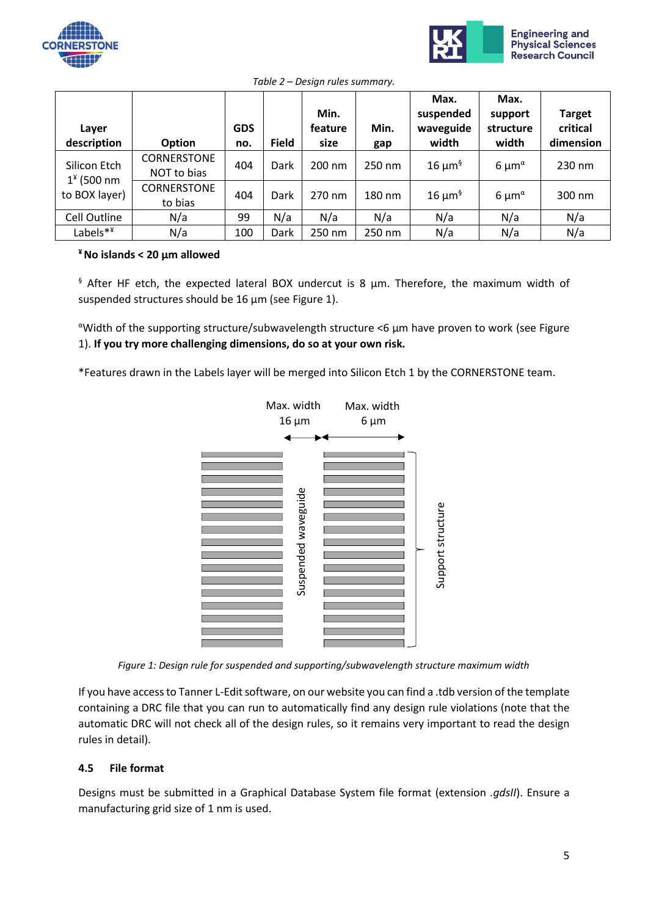



*Table 2 – Design rules summary.*

<span id="page-4-0"></span>

| Layer<br>description                          | <b>Option</b>                     | <b>GDS</b><br>no. | <b>Field</b> | Min.<br>feature<br>size | Min.<br>gap | Max.<br>suspended<br>waveguide<br>width | Max.<br>support<br>structure<br>width    | <b>Target</b><br>critical<br>dimension |
|-----------------------------------------------|-----------------------------------|-------------------|--------------|-------------------------|-------------|-----------------------------------------|------------------------------------------|----------------------------------------|
| Silicon Etch<br>$12$ (500 nm<br>to BOX layer) | <b>CORNERSTONE</b><br>NOT to bias | 404               | Dark         | 200 nm                  | 250 nm      | 16 $\mu$ m <sup>§</sup>                 | 6 $\mu$ m <sup><math>\alpha</math></sup> | 230 nm                                 |
|                                               | CORNERSTONE<br>to bias            | 404               | Dark         | 270 nm                  | 180 nm      | 16 $\mu$ m <sup>§</sup>                 | 6 $\mu$ m <sup><math>\alpha</math></sup> | 300 nm                                 |
| Cell Outline                                  | N/a                               | 99                | N/a          | N/a                     | N/a         | N/a                                     | N/a                                      | N/a                                    |
| Labels**                                      | N/a                               | 100               | Dark         | 250 nm                  | 250 nm      | N/a                                     | N/a                                      | N/a                                    |

# **¥ No islands < 20 µm allowed**

 $\frac{1}{3}$  After HF etch, the expected lateral BOX undercut is 8  $\mu$ m. Therefore, the maximum width of suspended structures should be 16 µm (see [Figure 1\)](#page-4-1).

<sup>α</sup>Width of the supporting structure/subwavelength structure <6 µm have proven to work (see [Figure](#page-4-1)  [1\)](#page-4-1). **If you try more challenging dimensions, do so at your own risk.** 

\*Features drawn in the Labels layer will be merged into Silicon Etch 1 by the CORNERSTONE team.



*Figure 1: Design rule for suspended and supporting/subwavelength structure maximum width*

<span id="page-4-1"></span>If you have access to Tanner L-Edit software, on our website you can find a .tdb version of the template containing a DRC file that you can run to automatically find any design rule violations (note that the automatic DRC will not check all of the design rules, so it remains very important to read the design rules in detail).

# **4.5 File format**

Designs must be submitted in a Graphical Database System file format (extension *.gdsII*). Ensure a manufacturing grid size of 1 nm is used.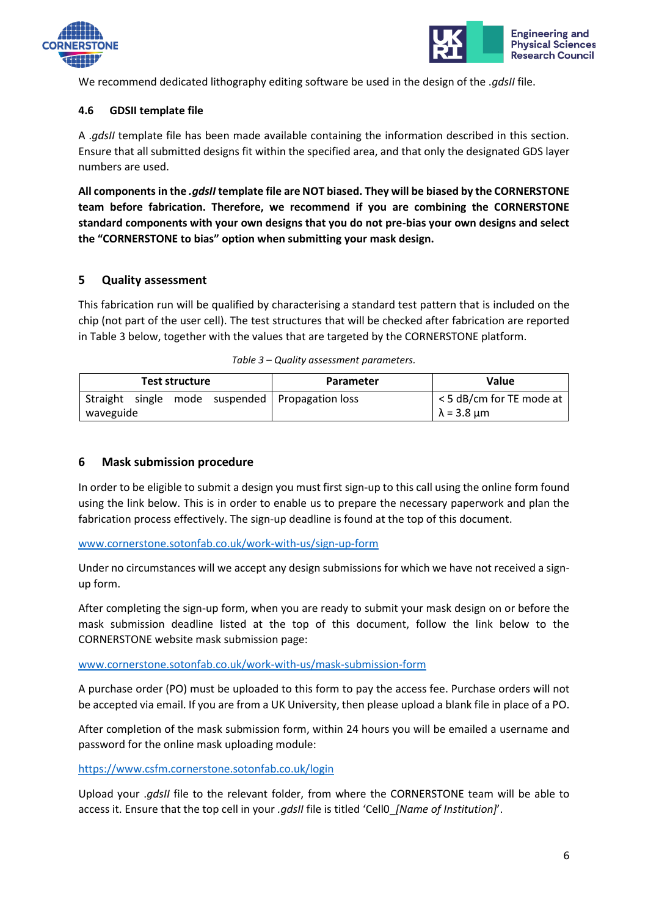



We recommend dedicated lithography editing software be used in the design of the .*gdsII* file.

#### **4.6 GDSII template file**

A .*gdsII* template file has been made available containing the information described in this section. Ensure that all submitted designs fit within the specified area, and that only the designated GDS layer numbers are used.

**All components in the** *.gdsII* **template file are NOT biased. They will be biased by the CORNERSTONE team before fabrication. Therefore, we recommend if you are combining the CORNERSTONE standard components with your own designs that you do not pre-bias your own designs and select the "CORNERSTONE to bias" option when submitting your mask design.**

#### **5 Quality assessment**

This fabrication run will be qualified by characterising a standard test pattern that is included on the chip (not part of the user cell). The test structures that will be checked after fabrication are reported in [Table 3](#page-5-1) below, together with the values that are targeted by the CORNERSTONE platform.

<span id="page-5-1"></span>

| <b>Test structure</b> |  |  | Parameter                                         | Value                            |
|-----------------------|--|--|---------------------------------------------------|----------------------------------|
|                       |  |  | Straight single mode suspended   Propagation loss | $\vert$ < 5 dB/cm for TE mode at |
| waveguide             |  |  |                                                   | $\lambda$ = 3.8 µm               |

#### <span id="page-5-0"></span>**6 Mask submission procedure**

In order to be eligible to submit a design you must first sign-up to this call using the online form found using the link below. This is in order to enable us to prepare the necessary paperwork and plan the fabrication process effectively. The sign-up deadline is found at the top of this document.

[www.cornerstone.sotonfab.co.uk/work-with-us/sign-up-form](http://www.cornerstone.sotonfab.co.uk/work-with-us/sign-up-form)

Under no circumstances will we accept any design submissions for which we have not received a signup form.

After completing the sign-up form, when you are ready to submit your mask design on or before the mask submission deadline listed at the top of this document, follow the link below to the CORNERSTONE website mask submission page:

#### [www.cornerstone.sotonfab.co.uk/work-with-us/mask-submission-form](http://www.cornerstone.sotonfab.co.uk/work-with-us/mask-submission-form)

A purchase order (PO) must be uploaded to this form to pay the access fee. Purchase orders will not be accepted via email. If you are from a UK University, then please upload a blank file in place of a PO.

After completion of the mask submission form, within 24 hours you will be emailed a username and password for the online mask uploading module:

<https://www.csfm.cornerstone.sotonfab.co.uk/login>

Upload your .*gdsII* file to the relevant folder, from where the CORNERSTONE team will be able to access it. Ensure that the top cell in your *.gdsII* file is titled 'Cell0\_*[Name of Institution]*'.